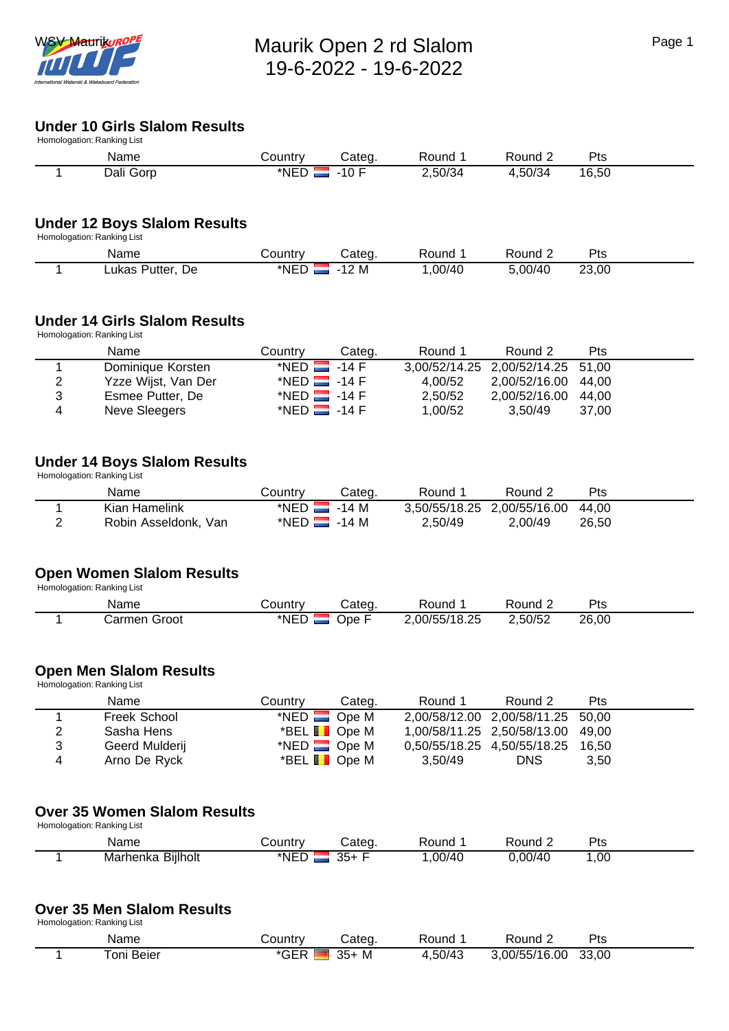

# **Under 10 Girls Slalom Results**

| Homologation: Ranking List |           |          |         |         |         |       |
|----------------------------|-----------|----------|---------|---------|---------|-------|
|                            | Name      | こountry  | Categ.  | Round   | Round ? | Pts   |
|                            | Dali Gorp | $*NED$ . | . -10 F | 2,50/34 | 4,50/34 | 16.50 |

## **Under 12 Boys Slalom Results**

Homologation: Ranking List

| Name                   | ountryـ | ;ateo       | Round  | 'ound  | ס+כ<br>−ر |  |
|------------------------|---------|-------------|--------|--------|-----------|--|
| De.<br>utter-<br>∟ukas | *NED    | M<br>$\sim$ | .00/40 | .00/40 | 23,00     |  |

### **Under 14 Girls Slalom Results**

Homologation: Ranking List

|                | Name                | Country                   | Categ. | Round 1 | Round 2                           | <b>Pts</b> |
|----------------|---------------------|---------------------------|--------|---------|-----------------------------------|------------|
|                | Dominique Korsten   | *NED $\blacksquare$ -14 F |        |         | 3,00/52/14.25 2,00/52/14.25 51,00 |            |
| $\overline{2}$ | Yzze Wijst, Van Der | *NED $\blacksquare$ -14 F |        | 4.00/52 | 2,00/52/16.00 44,00               |            |
| 3              | Esmee Putter, De    | *NED $\blacksquare$ -14 F |        | 2,50/52 | 2,00/52/16.00 44,00               |            |
| 4              | Neve Sleegers       | *NED $\blacksquare$ -14 F |        | 1,00/52 | 3.50/49                           | 37.00      |

### **Under 14 Boys Slalom Results**

Homologation: Ranking List

|   | Name                 | Countrv                   | Categ. | Round 1                           | Round 2 | Pts   |
|---|----------------------|---------------------------|--------|-----------------------------------|---------|-------|
|   | Kian Hamelink        | *NED $\blacksquare$ -14 M |        | 3,50/55/18.25 2,00/55/16.00 44,00 |         |       |
| ▃ | Robin Asseldonk, Van | *NED $\blacksquare$ -14 M |        | 2.50/49                           | 2.00/49 | 26.50 |

## **Open Women Slalom Results**

Homologation: Ranking List

| Name                                           | ountryٽ | Cateq | Round         | Round   | $P_{\text{ts}}$ |  |
|------------------------------------------------|---------|-------|---------------|---------|-----------------|--|
| Groot<br>$\mathsf{\sim}$ armen $\mathsf{\sim}$ | *NED    | Jpe F | 2,00/55/18.25 | 2,50/52 | 26,00           |  |

## **Open Men Slalom Results**

 Homologation: Ranking List Name **Country Categ.** Round 1 Round 2 Pts 1 Freek School \*NED Ope M 2,00/58/12.00 2,00/58/11.25 50,00<br>2 Sasha Hens \*BEL Ope M 1,00/58/11.25 2,50/58/13.00 49,00 Sasha Hens \* \*BEL Ope M 1,00/58/11.25 2,50/58/13.00 49,00<br>
Geerd Mulderij \*NED Ope M 0,50/55/18.25 4,50/55/18.25 16,50 3 Geerd Mulderij \*NED Ope M 0,50/55/18.25 4,50/55/18.25 16,50<br>4 Arno De Ryck \*BEL Ope M 3,50/49 DNS 3,50  $*$  BEL  $\blacksquare$  Ope M

## **Over 35 Women Slalom Results**

Homologation: Ranking List

| Name                             | ount      |         | una.       | אחוור         | ີ<br>$\sim$ $\sim$ |  |
|----------------------------------|-----------|---------|------------|---------------|--------------------|--|
| <br>Biilholt<br>Marhenka<br>$ -$ | .<br>*NEL | つら<br>ື | nn/<br>' л | , 001<br>ጋ/40 | ,00                |  |

#### **Over 35 Men Slalom Results**

Homologation: Ranking List

| Name      | ۔ountry ت                     | Cateɑ      | Round   | <b>Round</b>  | <b>D</b> tc<br>ເວ |
|-----------|-------------------------------|------------|---------|---------------|-------------------|
| oni Beier | $* \cap \Gamma \Gamma$<br>uer | $35+$<br>м | 1,50/43 | 3,00/55/16.00 | 33,00             |